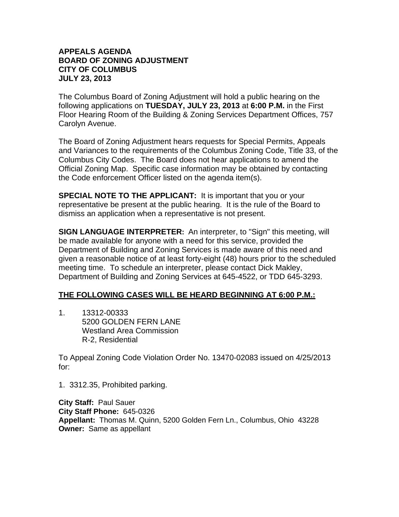## **APPEALS AGENDA BOARD OF ZONING ADJUSTMENT CITY OF COLUMBUS JULY 23, 2013**

The Columbus Board of Zoning Adjustment will hold a public hearing on the following applications on **TUESDAY, JULY 23, 2013** at **6:00 P.M.** in the First Floor Hearing Room of the Building & Zoning Services Department Offices, 757 Carolyn Avenue.

The Board of Zoning Adjustment hears requests for Special Permits, Appeals and Variances to the requirements of the Columbus Zoning Code, Title 33, of the Columbus City Codes. The Board does not hear applications to amend the Official Zoning Map. Specific case information may be obtained by contacting the Code enforcement Officer listed on the agenda item(s).

**SPECIAL NOTE TO THE APPLICANT:** It is important that you or your representative be present at the public hearing. It is the rule of the Board to dismiss an application when a representative is not present.

**SIGN LANGUAGE INTERPRETER:** An interpreter, to "Sign" this meeting, will be made available for anyone with a need for this service, provided the Department of Building and Zoning Services is made aware of this need and given a reasonable notice of at least forty-eight (48) hours prior to the scheduled meeting time. To schedule an interpreter, please contact Dick Makley, Department of Building and Zoning Services at 645-4522, or TDD 645-3293.

## **THE FOLLOWING CASES WILL BE HEARD BEGINNING AT 6:00 P.M.:**

1. 13312-00333 5200 GOLDEN FERN LANE Westland Area Commission R-2, Residential

To Appeal Zoning Code Violation Order No. 13470-02083 issued on 4/25/2013 for:

1. 3312.35, Prohibited parking.

**City Staff:** Paul Sauer **City Staff Phone:** 645-0326 **Appellant:** Thomas M. Quinn, 5200 Golden Fern Ln., Columbus, Ohio 43228 **Owner:** Same as appellant